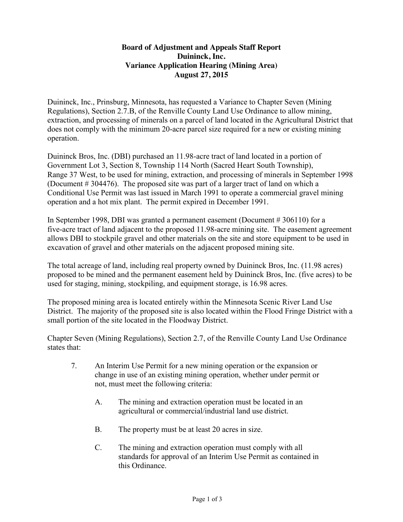## **Board of Adjustment and Appeals Staff Report Duininck, Inc. Variance Application Hearing (Mining Area) August 27, 2015**

Duininck, Inc., Prinsburg, Minnesota, has requested a Variance to Chapter Seven (Mining Regulations), Section 2.7.B, of the Renville County Land Use Ordinance to allow mining, extraction, and processing of minerals on a parcel of land located in the Agricultural District that does not comply with the minimum 20-acre parcel size required for a new or existing mining operation.

Duininck Bros, Inc. (DBI) purchased an 11.98-acre tract of land located in a portion of Government Lot 3, Section 8, Township 114 North (Sacred Heart South Township), Range 37 West, to be used for mining, extraction, and processing of minerals in September 1998 (Document # 304476). The proposed site was part of a larger tract of land on which a Conditional Use Permit was last issued in March 1991 to operate a commercial gravel mining operation and a hot mix plant. The permit expired in December 1991.

In September 1998, DBI was granted a permanent easement (Document # 306110) for a five-acre tract of land adjacent to the proposed 11.98-acre mining site. The easement agreement allows DBI to stockpile gravel and other materials on the site and store equipment to be used in excavation of gravel and other materials on the adjacent proposed mining site.

The total acreage of land, including real property owned by Duininck Bros, Inc. (11.98 acres) proposed to be mined and the permanent easement held by Duininck Bros, Inc. (five acres) to be used for staging, mining, stockpiling, and equipment storage, is 16.98 acres.

The proposed mining area is located entirely within the Minnesota Scenic River Land Use District. The majority of the proposed site is also located within the Flood Fringe District with a small portion of the site located in the Floodway District.

Chapter Seven (Mining Regulations), Section 2.7, of the Renville County Land Use Ordinance states that:

- 7. An Interim Use Permit for a new mining operation or the expansion or change in use of an existing mining operation, whether under permit or not, must meet the following criteria:
	- A. The mining and extraction operation must be located in an agricultural or commercial/industrial land use district.
	- B. The property must be at least 20 acres in size.
	- C. The mining and extraction operation must comply with all standards for approval of an Interim Use Permit as contained in this Ordinance.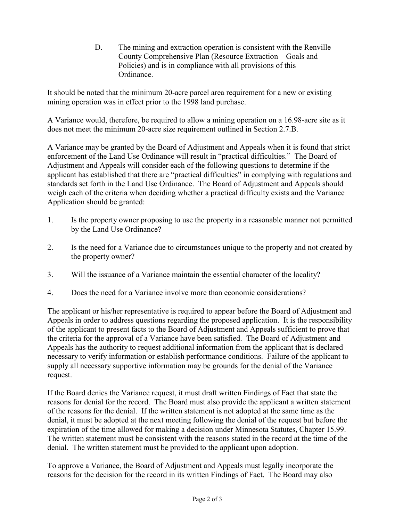D. The mining and extraction operation is consistent with the Renville County Comprehensive Plan (Resource Extraction – Goals and Policies) and is in compliance with all provisions of this Ordinance.

It should be noted that the minimum 20-acre parcel area requirement for a new or existing mining operation was in effect prior to the 1998 land purchase.

A Variance would, therefore, be required to allow a mining operation on a 16.98-acre site as it does not meet the minimum 20-acre size requirement outlined in Section 2.7.B.

A Variance may be granted by the Board of Adjustment and Appeals when it is found that strict enforcement of the Land Use Ordinance will result in "practical difficulties." The Board of Adjustment and Appeals will consider each of the following questions to determine if the applicant has established that there are "practical difficulties" in complying with regulations and standards set forth in the Land Use Ordinance. The Board of Adjustment and Appeals should weigh each of the criteria when deciding whether a practical difficulty exists and the Variance Application should be granted:

- 1. Is the property owner proposing to use the property in a reasonable manner not permitted by the Land Use Ordinance?
- 2. Is the need for a Variance due to circumstances unique to the property and not created by the property owner?
- 3. Will the issuance of a Variance maintain the essential character of the locality?
- 4. Does the need for a Variance involve more than economic considerations?

The applicant or his/her representative is required to appear before the Board of Adjustment and Appeals in order to address questions regarding the proposed application. It is the responsibility of the applicant to present facts to the Board of Adjustment and Appeals sufficient to prove that the criteria for the approval of a Variance have been satisfied. The Board of Adjustment and Appeals has the authority to request additional information from the applicant that is declared necessary to verify information or establish performance conditions. Failure of the applicant to supply all necessary supportive information may be grounds for the denial of the Variance request.

If the Board denies the Variance request, it must draft written Findings of Fact that state the reasons for denial for the record. The Board must also provide the applicant a written statement of the reasons for the denial. If the written statement is not adopted at the same time as the denial, it must be adopted at the next meeting following the denial of the request but before the expiration of the time allowed for making a decision under Minnesota Statutes, Chapter 15.99. The written statement must be consistent with the reasons stated in the record at the time of the denial. The written statement must be provided to the applicant upon adoption.

To approve a Variance, the Board of Adjustment and Appeals must legally incorporate the reasons for the decision for the record in its written Findings of Fact. The Board may also